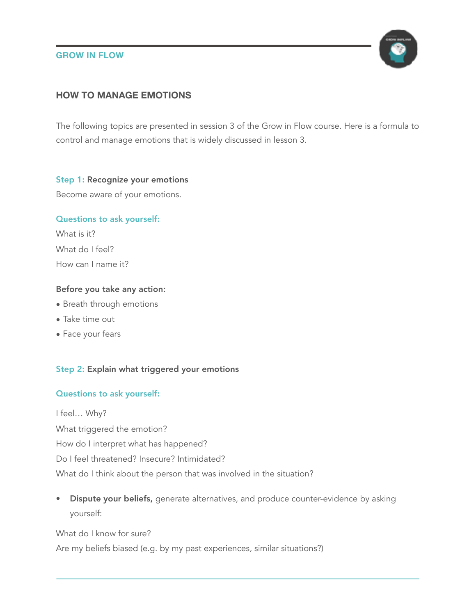### **GROW IN FLOW**



# **HOW TO MANAGE EMOTIONS**

The following topics are presented in session 3 of the Grow in Flow course. Here is a formula to control and manage emotions that is widely discussed in lesson 3.

#### Step 1: Recognize your emotions

Become aware of your emotions.

### Questions to ask yourself:

What is it? What do I feel? How can I name it?

### Before you take any action:

- Breath through emotions
- Take time out
- Face your fears

### Step 2: Explain what triggered your emotions

# Questions to ask yourself:

I feel… Why? What triggered the emotion? How do I interpret what has happened? Do I feel threatened? Insecure? Intimidated? What do I think about the person that was involved in the situation?

• Dispute your beliefs, generate alternatives, and produce counter-evidence by asking yourself:

What do I know for sure? Are my beliefs biased (e.g. by my past experiences, similar situations?)